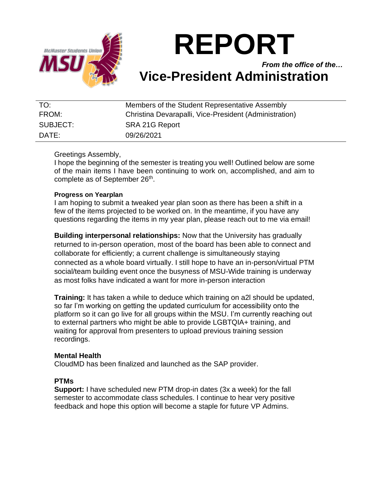

# **REPORT**

*From the office of the…* **Vice-President Administration**

| TO:      | Members of the Student Representative Assembly         |
|----------|--------------------------------------------------------|
| FROM:    | Christina Devarapalli, Vice-President (Administration) |
| SUBJECT: | SRA 21G Report                                         |
| DATE:    | 09/26/2021                                             |

### Greetings Assembly,

I hope the beginning of the semester is treating you well! Outlined below are some of the main items I have been continuing to work on, accomplished, and aim to complete as of September 26<sup>th</sup>.

#### **Progress on Yearplan**

I am hoping to submit a tweaked year plan soon as there has been a shift in a few of the items projected to be worked on. In the meantime, if you have any questions regarding the items in my year plan, please reach out to me via email!

**Building interpersonal relationships:** Now that the University has gradually returned to in-person operation, most of the board has been able to connect and collaborate for efficiently; a current challenge is simultaneously staying connected as a whole board virtually. I still hope to have an in-person/virtual PTM social/team building event once the busyness of MSU-Wide training is underway as most folks have indicated a want for more in-person interaction

**Training:** It has taken a while to deduce which training on a2l should be updated, so far I'm working on getting the updated curriculum for accessibility onto the platform so it can go live for all groups within the MSU. I'm currently reaching out to external partners who might be able to provide LGBTQIA+ training, and waiting for approval from presenters to upload previous training session recordings.

#### **Mental Health**

CloudMD has been finalized and launched as the SAP provider.

#### **PTMs**

**Support:** I have scheduled new PTM drop-in dates (3x a week) for the fall semester to accommodate class schedules. I continue to hear very positive feedback and hope this option will become a staple for future VP Admins.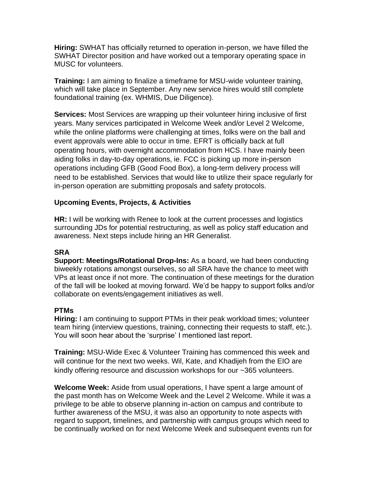**Hiring:** SWHAT has officially returned to operation in-person, we have filled the SWHAT Director position and have worked out a temporary operating space in MUSC for volunteers.

**Training:** I am aiming to finalize a timeframe for MSU-wide volunteer training, which will take place in September. Any new service hires would still complete foundational training (ex. WHMIS, Due Diligence).

**Services:** Most Services are wrapping up their volunteer hiring inclusive of first years. Many services participated in Welcome Week and/or Level 2 Welcome, while the online platforms were challenging at times, folks were on the ball and event approvals were able to occur in time. EFRT is officially back at full operating hours, with overnight accommodation from HCS. I have mainly been aiding folks in day-to-day operations, ie. FCC is picking up more in-person operations including GFB (Good Food Box), a long-term delivery process will need to be established. Services that would like to utilize their space regularly for in-person operation are submitting proposals and safety protocols.

## **Upcoming Events, Projects, & Activities**

**HR:** I will be working with Renee to look at the current processes and logistics surrounding JDs for potential restructuring, as well as policy staff education and awareness. Next steps include hiring an HR Generalist.

#### **SRA**

**Support: Meetings/Rotational Drop-Ins:** As a board, we had been conducting biweekly rotations amongst ourselves, so all SRA have the chance to meet with VPs at least once if not more. The continuation of these meetings for the duration of the fall will be looked at moving forward. We'd be happy to support folks and/or collaborate on events/engagement initiatives as well.

#### **PTMs**

**Hiring:** I am continuing to support PTMs in their peak workload times; volunteer team hiring (interview questions, training, connecting their requests to staff, etc.). You will soon hear about the 'surprise' I mentioned last report.

**Training:** MSU-Wide Exec & Volunteer Training has commenced this week and will continue for the next two weeks. Wil, Kate, and Khadijeh from the EIO are kindly offering resource and discussion workshops for our ~365 volunteers.

**Welcome Week:** Aside from usual operations, I have spent a large amount of the past month has on Welcome Week and the Level 2 Welcome. While it was a privilege to be able to observe planning in-action on campus and contribute to further awareness of the MSU, it was also an opportunity to note aspects with regard to support, timelines, and partnership with campus groups which need to be continually worked on for next Welcome Week and subsequent events run for